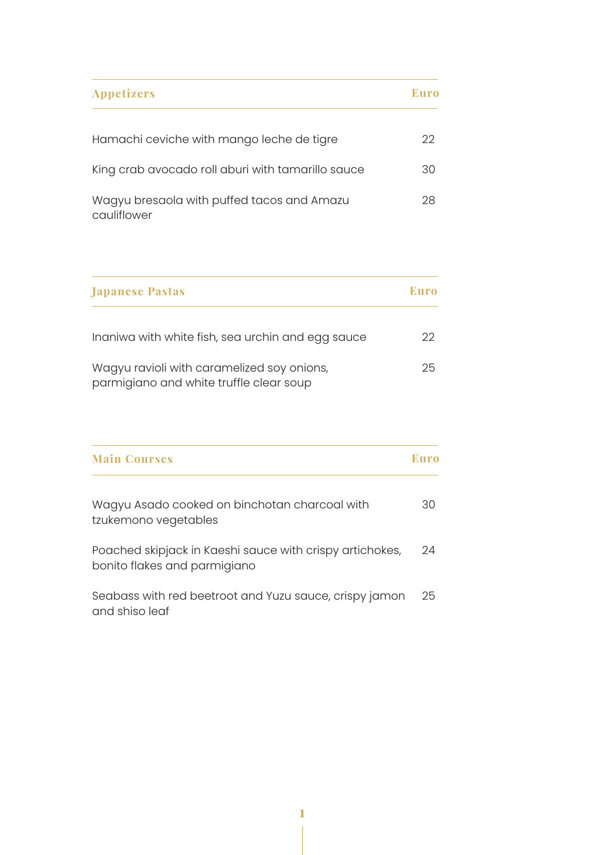| <b>Appetizers</b>                                         | Euro |
|-----------------------------------------------------------|------|
| Hamachi ceviche with mango leche de tigre                 | 22.  |
| King crab avocado roll aburi with tamarillo sauce         | 30   |
| Wagyu bresaola with puffed tacos and Amazu<br>cauliflower | 28   |

| <b>Japanese Pastas</b>                                                                | Euro |
|---------------------------------------------------------------------------------------|------|
| Inaniwa with white fish, sea urchin and egg sauce                                     | 22   |
| Wagyu ravioli with caramelized soy onions,<br>parmigiano and white truffle clear soup | 25   |

| <b>Main Courses</b>                                                                      | Euro |
|------------------------------------------------------------------------------------------|------|
| Wagyu Asado cooked on binchotan charcoal with<br>tzukemono vegetables                    | 30   |
| Poached skipjack in Kaeshi sauce with crispy artichokes,<br>bonito flakes and parmigiano | 24   |
| Seabass with red beetroot and Yuzu sauce, crispy jamon<br>and shiso leaf                 | 25   |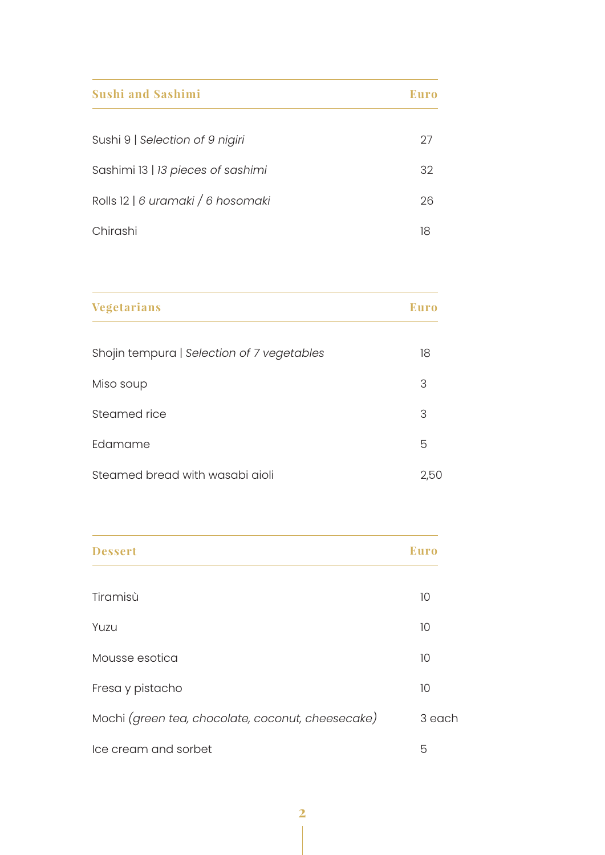| <b>Sushi and Sashimi</b>          | Euro |
|-----------------------------------|------|
| Sushi 9   Selection of 9 nigiri   | 27   |
| Sashimi 13   13 pieces of sashimi | 32   |
| Rolls 12   6 uramaki / 6 hosomaki | 26   |
| Chirashi                          | 18   |

| <b>Vegetarians</b>                         | <b>Euro</b> |
|--------------------------------------------|-------------|
| Shojin tempura   Selection of 7 vegetables | 18          |
| Miso soup                                  | 3           |
| Steamed rice                               | 3           |
| Edamame                                    | 5           |
| Steamed bread with wasabi aioli            | 2,50        |

| <b>Dessert</b>                                    | <b>Euro</b> |
|---------------------------------------------------|-------------|
| Tiramisù                                          | 10          |
| Yuzu                                              | 10          |
| Mousse esotica                                    | 10          |
| Fresa y pistacho                                  | 10          |
| Mochi (green tea, chocolate, coconut, cheesecake) | 3 each      |
| Ice cream and sorbet                              | 5           |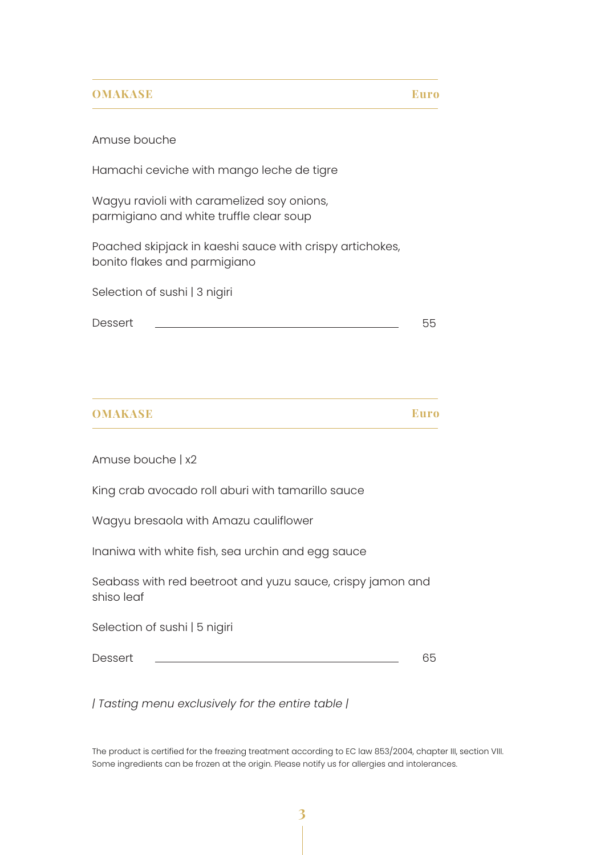## **OMAKASE**

**Euro**

## Amuse bouche

Hamachi ceviche with mango leche de tigre

Wagyu ravioli with caramelized soy onions, parmigiano and white truffle clear soup

Poached skipjack in kaeshi sauce with crispy artichokes, bonito flakes and parmigiano

Selection of sushi | 3 nigiri

Dessert 55

Amuse bouche | x2

King crab avocado roll aburi with tamarillo sauce

Wagyu bresaola with Amazu cauliflower

Inaniwa with white fish, sea urchin and egg sauce

Seabass with red beetroot and yuzu sauce, crispy jamon and shiso leaf

Selection of sushi | 5 nigiri

**Dessert** 

65

*| Tasting menu exclusively for the entire table |*

The product is certified for the freezing treatment according to EC law 853/2004, chapter III, section VIII. Some ingredients can be frozen at the origin. Please notify us for allergies and intolerances.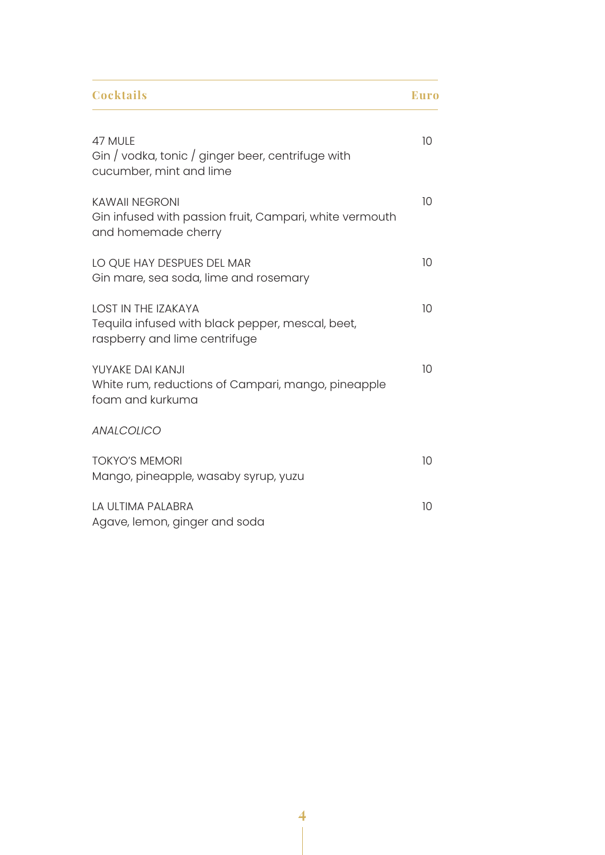| <b>Cocktails</b>                                                                                                | <b>Euro</b> |
|-----------------------------------------------------------------------------------------------------------------|-------------|
| 47 MULE<br>Gin / vodka, tonic / ginger beer, centrifuge with<br>cucumber, mint and lime                         | 10          |
| <b>KAWAII NEGRONI</b><br>Gin infused with passion fruit, Campari, white vermouth<br>and homemade cherry         | 10          |
| LO QUE HAY DESPUES DEL MAR<br>Gin mare, sea soda, lime and rosemary                                             | 10          |
| <b>LOST IN THE IZAKAYA</b><br>Tequila infused with black pepper, mescal, beet,<br>raspberry and lime centrifuge | 10          |
| YUYAKE DAI KANJI<br>White rum, reductions of Campari, mango, pineapple<br>foam and kurkuma                      | 10          |
| <b>ANALCOLICO</b>                                                                                               |             |
| <b>TOKYO'S MEMORI</b><br>Mango, pineapple, wasaby syrup, yuzu                                                   | 10          |
| LA ULTIMA PALABRA<br>Agave, lemon, ginger and soda                                                              | 10          |